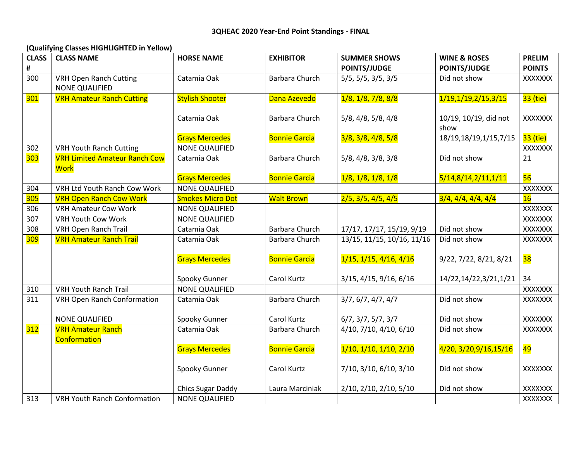## **(Qualifying Classes HIGHLIGHTED in Yellow)**

| <b>CLASS</b> | <b>CLASS NAME</b>                    | <b>HORSE NAME</b>        | <b>EXHIBITOR</b>      | <b>SUMMER SHOWS</b>               | <b>WINE &amp; ROSES</b> | <b>PRELIM</b>  |
|--------------|--------------------------------------|--------------------------|-----------------------|-----------------------------------|-------------------------|----------------|
| #            |                                      |                          |                       | <b>POINTS/JUDGE</b>               | <b>POINTS/JUDGE</b>     | <b>POINTS</b>  |
| 300          | <b>VRH Open Ranch Cutting</b>        | Catamia Oak              | Barbara Church        | 5/5, 5/5, 3/5, 3/5                | Did not show            | XXXXXXX        |
|              | <b>NONE QUALIFIED</b>                |                          |                       |                                   |                         |                |
| <b>301</b>   | <b>VRH Amateur Ranch Cutting</b>     | <b>Stylish Shooter</b>   | Dana Azevedo          | 1/8, 1/8, 7/8, 8/8                | 1/19,1/19,2/15,3/15     | 33 (tie)       |
|              |                                      |                          |                       |                                   |                         |                |
|              |                                      | Catamia Oak              | Barbara Church        | 5/8, 4/8, 5/8, 4/8                | 10/19, 10/19, did not   | XXXXXXX        |
|              |                                      |                          |                       |                                   | show                    |                |
|              |                                      | <b>Grays Mercedes</b>    | <b>Bonnie Garcia</b>  | 3/8, 3/8, 4/8, 5/8                | 18/19,18/19,1/15,7/15   | 33 (tie)       |
| 302          | <b>VRH Youth Ranch Cutting</b>       | <b>NONE QUALIFIED</b>    |                       |                                   |                         | XXXXXXX        |
| <b>303</b>   | <b>VRH Limited Amateur Ranch Cow</b> | Catamia Oak              | <b>Barbara Church</b> | 5/8, 4/8, 3/8, 3/8                | Did not show            | 21             |
|              | <b>Work</b>                          |                          |                       |                                   |                         |                |
|              |                                      | <b>Grays Mercedes</b>    | <b>Bonnie Garcia</b>  | 1/8, 1/8, 1/8, 1/8                | 5/14,8/14,2/11,1/11     | 56             |
| 304          | <b>VRH Ltd Youth Ranch Cow Work</b>  | <b>NONE QUALIFIED</b>    |                       |                                   |                         | XXXXXXX        |
| <b>305</b>   | <b>VRH Open Ranch Cow Work</b>       | <b>Smokes Micro Dot</b>  | <b>Walt Brown</b>     | 2/5, 3/5, 4/5, 4/5                | 3/4, 4/4, 4/4, 4/4      | 16             |
| 306          | <b>VRH Amateur Cow Work</b>          | <b>NONE QUALIFIED</b>    |                       |                                   |                         | <b>XXXXXXX</b> |
| 307          | <b>VRH Youth Cow Work</b>            | NONE QUALIFIED           |                       |                                   |                         | <b>XXXXXXX</b> |
| 308          | <b>VRH Open Ranch Trail</b>          | Catamia Oak              | <b>Barbara Church</b> | 17/17, 17/17, 15/19, 9/19         | Did not show            | XXXXXXX        |
| 309          | <b>VRH Amateur Ranch Trail</b>       | Catamia Oak              | Barbara Church        | 13/15, 11/15, 10/16, 11/16        | Did not show            | XXXXXXX        |
|              |                                      |                          |                       |                                   |                         |                |
|              |                                      | <b>Grays Mercedes</b>    | <b>Bonnie Garcia</b>  | $1/15$ , $1/15$ , $4/16$ , $4/16$ | 9/22, 7/22, 8/21, 8/21  | 38             |
|              |                                      |                          |                       |                                   |                         |                |
|              |                                      | Spooky Gunner            | Carol Kurtz           | 3/15, 4/15, 9/16, 6/16            | 14/22,14/22,3/21,1/21   | 34             |
| 310          | <b>VRH Youth Ranch Trail</b>         | <b>NONE QUALIFIED</b>    |                       |                                   |                         | XXXXXXX        |
| 311          | <b>VRH Open Ranch Conformation</b>   | Catamia Oak              | Barbara Church        | 3/7, 6/7, 4/7, 4/7                | Did not show            | XXXXXXX        |
|              |                                      |                          |                       |                                   |                         |                |
|              | <b>NONE QUALIFIED</b>                | Spooky Gunner            | Carol Kurtz           | 6/7, 3/7, 5/7, 3/7                | Did not show            | XXXXXXX        |
| 312          | <b>VRH Amateur Ranch</b>             | Catamia Oak              | <b>Barbara Church</b> | 4/10, 7/10, 4/10, 6/10            | Did not show            | XXXXXXX        |
|              | Conformation                         |                          |                       |                                   |                         |                |
|              |                                      | <b>Grays Mercedes</b>    | <b>Bonnie Garcia</b>  | $1/10$ , $1/10$ , $1/10$ , $2/10$ | 4/20, 3/20, 9/16, 15/16 | 49             |
|              |                                      |                          |                       |                                   |                         |                |
|              |                                      | Spooky Gunner            | Carol Kurtz           | 7/10, 3/10, 6/10, 3/10            | Did not show            | XXXXXXX        |
|              |                                      |                          |                       |                                   |                         |                |
|              |                                      | <b>Chics Sugar Daddy</b> | Laura Marciniak       | 2/10, 2/10, 2/10, 5/10            | Did not show            | XXXXXXX        |
| 313          | <b>VRH Youth Ranch Conformation</b>  | NONE QUALIFIED           |                       |                                   |                         | <b>XXXXXXX</b> |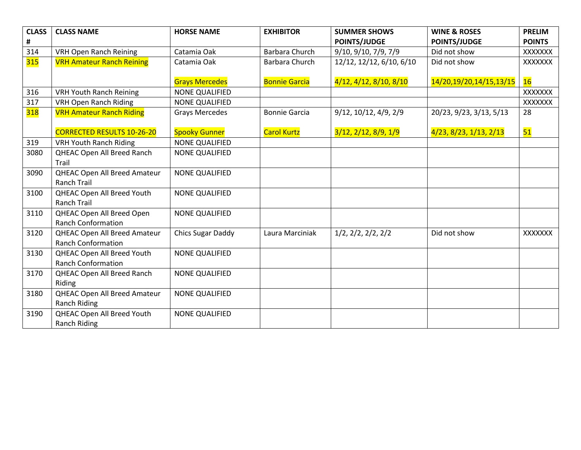| <b>CLASS</b> | <b>CLASS NAME</b>                   | <b>HORSE NAME</b>        | <b>EXHIBITOR</b>     | <b>SUMMER SHOWS</b>              | <b>WINE &amp; ROSES</b> | <b>PRELIM</b>  |
|--------------|-------------------------------------|--------------------------|----------------------|----------------------------------|-------------------------|----------------|
| #            |                                     |                          |                      | <b>POINTS/JUDGE</b>              | <b>POINTS/JUDGE</b>     | <b>POINTS</b>  |
| 314          | <b>VRH Open Ranch Reining</b>       | Catamia Oak              | Barbara Church       | 9/10, 9/10, 7/9, 7/9             | Did not show            | <b>XXXXXXX</b> |
| 315          | <b>VRH Amateur Ranch Reining</b>    | Catamia Oak              | Barbara Church       | 12/12, 12/12, 6/10, 6/10         | Did not show            | XXXXXXX        |
|              |                                     |                          |                      |                                  |                         |                |
|              |                                     | <b>Grays Mercedes</b>    | <b>Bonnie Garcia</b> | 4/12, 4/12, 8/10, 8/10           | 14/20,19/20,14/15,13/15 | 16             |
| 316          | <b>VRH Youth Ranch Reining</b>      | <b>NONE QUALIFIED</b>    |                      |                                  |                         | <b>XXXXXXX</b> |
| 317          | <b>VRH Open Ranch Riding</b>        | <b>NONE QUALIFIED</b>    |                      |                                  |                         | XXXXXXX        |
| 318          | <b>VRH Amateur Ranch Riding</b>     | <b>Grays Mercedes</b>    | <b>Bonnie Garcia</b> | $9/12$ , $10/12$ , $4/9$ , $2/9$ | 20/23, 9/23, 3/13, 5/13 | 28             |
|              |                                     |                          |                      |                                  |                         |                |
|              | <b>CORRECTED RESULTS 10-26-20</b>   | <b>Spooky Gunner</b>     | <b>Carol Kurtz</b>   | 3/12, 2/12, 8/9, 1/9             | 4/23, 8/23, 1/13, 2/13  | 51             |
| 319          | <b>VRH Youth Ranch Riding</b>       | <b>NONE QUALIFIED</b>    |                      |                                  |                         |                |
| 3080         | QHEAC Open All Breed Ranch          | <b>NONE QUALIFIED</b>    |                      |                                  |                         |                |
|              | Trail                               |                          |                      |                                  |                         |                |
| 3090         | <b>QHEAC Open All Breed Amateur</b> | <b>NONE QUALIFIED</b>    |                      |                                  |                         |                |
|              | <b>Ranch Trail</b>                  |                          |                      |                                  |                         |                |
| 3100         | QHEAC Open All Breed Youth          | <b>NONE QUALIFIED</b>    |                      |                                  |                         |                |
|              | <b>Ranch Trail</b>                  |                          |                      |                                  |                         |                |
| 3110         | QHEAC Open All Breed Open           | <b>NONE QUALIFIED</b>    |                      |                                  |                         |                |
|              | <b>Ranch Conformation</b>           |                          |                      |                                  |                         |                |
| 3120         | QHEAC Open All Breed Amateur        | <b>Chics Sugar Daddy</b> | Laura Marciniak      | 1/2, 2/2, 2/2, 2/2               | Did not show            | <b>XXXXXXX</b> |
|              | <b>Ranch Conformation</b>           |                          |                      |                                  |                         |                |
| 3130         | QHEAC Open All Breed Youth          | <b>NONE QUALIFIED</b>    |                      |                                  |                         |                |
|              | <b>Ranch Conformation</b>           |                          |                      |                                  |                         |                |
| 3170         | QHEAC Open All Breed Ranch          | <b>NONE QUALIFIED</b>    |                      |                                  |                         |                |
|              | Riding                              |                          |                      |                                  |                         |                |
| 3180         | QHEAC Open All Breed Amateur        | <b>NONE QUALIFIED</b>    |                      |                                  |                         |                |
|              | <b>Ranch Riding</b>                 |                          |                      |                                  |                         |                |
| 3190         | QHEAC Open All Breed Youth          | <b>NONE QUALIFIED</b>    |                      |                                  |                         |                |
|              | <b>Ranch Riding</b>                 |                          |                      |                                  |                         |                |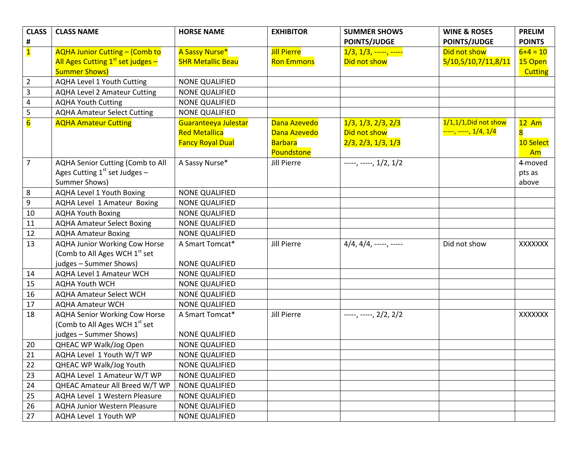| <b>CLASS</b>            | <b>CLASS NAME</b>                         | <b>HORSE NAME</b>        | <b>EXHIBITOR</b>   | <b>SUMMER SHOWS</b>      | <b>WINE &amp; ROSES</b>             | <b>PRELIM</b>  |
|-------------------------|-------------------------------------------|--------------------------|--------------------|--------------------------|-------------------------------------|----------------|
| $\pmb{\sharp}$          |                                           |                          |                    | <b>POINTS/JUDGE</b>      | <b>POINTS/JUDGE</b>                 | <b>POINTS</b>  |
| $\mathbf{1}$            | <b>AQHA Junior Cutting - (Comb to</b>     | A Sassy Nurse*           | <b>Jill Pierre</b> | $1/3, 1/3,$ -----, ----- | Did not show                        | $6 + 4 = 10$   |
|                         | All Ages Cutting $1st$ set judges -       | <b>SHR Metallic Beau</b> | <b>Ron Emmons</b>  | Did not show             | 5/10,5/10,7/11,8/11                 | 15 Open        |
|                         | <b>Summer Shows)</b>                      |                          |                    |                          |                                     | <b>Cutting</b> |
| $\overline{2}$          | AQHA Level 1 Youth Cutting                | <b>NONE QUALIFIED</b>    |                    |                          |                                     |                |
| $\mathbf{3}$            | <b>AQHA Level 2 Amateur Cutting</b>       | <b>NONE QUALIFIED</b>    |                    |                          |                                     |                |
| 4                       | <b>AQHA Youth Cutting</b>                 | NONE QUALIFIED           |                    |                          |                                     |                |
| 5                       | <b>AQHA Amateur Select Cutting</b>        | <b>NONE QUALIFIED</b>    |                    |                          |                                     |                |
| $\overline{\mathbf{6}}$ | <b>AQHA Amateur Cutting</b>               | Guaranteeya Julestar     | Dana Azevedo       | 1/3, 1/3, 2/3, 2/3       | $1/1, 1/1,$ Did not show            | $12$ Am        |
|                         |                                           | <b>Red Metallica</b>     | Dana Azevedo       | Did not show             | <mark>-----, -----, 1/4, 1/4</mark> | 8              |
|                         |                                           | <b>Fancy Royal Dual</b>  | <b>Barbara</b>     | 2/3, 2/3, 1/3, 1/3       |                                     | 10 Select      |
|                         |                                           |                          | Poundstone         |                          |                                     | Am             |
| $\overline{7}$          | AQHA Senior Cutting (Comb to All          | A Sassy Nurse*           | <b>Jill Pierre</b> | $---, ---, 1/2, 1/2$     |                                     | 4-moved        |
|                         | Ages Cutting $1st$ set Judges –           |                          |                    |                          |                                     | pts as         |
|                         | Summer Shows)                             |                          |                    |                          |                                     | above          |
| 8                       | <b>AQHA Level 1 Youth Boxing</b>          | <b>NONE QUALIFIED</b>    |                    |                          |                                     |                |
| 9                       | AQHA Level 1 Amateur Boxing               | <b>NONE QUALIFIED</b>    |                    |                          |                                     |                |
| 10                      | <b>AQHA Youth Boxing</b>                  | NONE QUALIFIED           |                    |                          |                                     |                |
| 11                      | <b>AQHA Amateur Select Boxing</b>         | <b>NONE QUALIFIED</b>    |                    |                          |                                     |                |
| 12                      | <b>AQHA Amateur Boxing</b>                | <b>NONE QUALIFIED</b>    |                    |                          |                                     |                |
| 13                      | <b>AQHA Junior Working Cow Horse</b>      | A Smart Tomcat*          | <b>Jill Pierre</b> | $4/4, 4/4,$ -----, ----- | Did not show                        | <b>XXXXXXX</b> |
|                         | (Comb to All Ages WCH 1 <sup>st</sup> set |                          |                    |                          |                                     |                |
|                         | judges - Summer Shows)                    | NONE QUALIFIED           |                    |                          |                                     |                |
| 14                      | <b>AQHA Level 1 Amateur WCH</b>           | <b>NONE QUALIFIED</b>    |                    |                          |                                     |                |
| 15                      | <b>AQHA Youth WCH</b>                     | NONE QUALIFIED           |                    |                          |                                     |                |
| 16                      | <b>AQHA Amateur Select WCH</b>            | NONE QUALIFIED           |                    |                          |                                     |                |
| 17                      | <b>AQHA Amateur WCH</b>                   | <b>NONE QUALIFIED</b>    |                    |                          |                                     |                |
| 18                      | <b>AQHA Senior Working Cow Horse</b>      | A Smart Tomcat*          | <b>Jill Pierre</b> | $---, ---, 2/2, 2/2$     |                                     | <b>XXXXXXX</b> |
|                         | (Comb to All Ages WCH 1 <sup>st</sup> set |                          |                    |                          |                                     |                |
|                         | judges - Summer Shows)                    | NONE QUALIFIED           |                    |                          |                                     |                |
| 20                      | QHEAC WP Walk/Jog Open                    | <b>NONE QUALIFIED</b>    |                    |                          |                                     |                |
| 21                      | AQHA Level 1 Youth W/T WP                 | NONE QUALIFIED           |                    |                          |                                     |                |
| 22                      | QHEAC WP Walk/Jog Youth                   | NONE QUALIFIED           |                    |                          |                                     |                |
| 23                      | AQHA Level 1 Amateur W/T WP               | NONE QUALIFIED           |                    |                          |                                     |                |
| 24                      | QHEAC Amateur All Breed W/T WP            | NONE QUALIFIED           |                    |                          |                                     |                |
| 25                      | AQHA Level 1 Western Pleasure             | NONE QUALIFIED           |                    |                          |                                     |                |
| 26                      | <b>AQHA Junior Western Pleasure</b>       | <b>NONE QUALIFIED</b>    |                    |                          |                                     |                |
| 27                      | AQHA Level 1 Youth WP                     | NONE QUALIFIED           |                    |                          |                                     |                |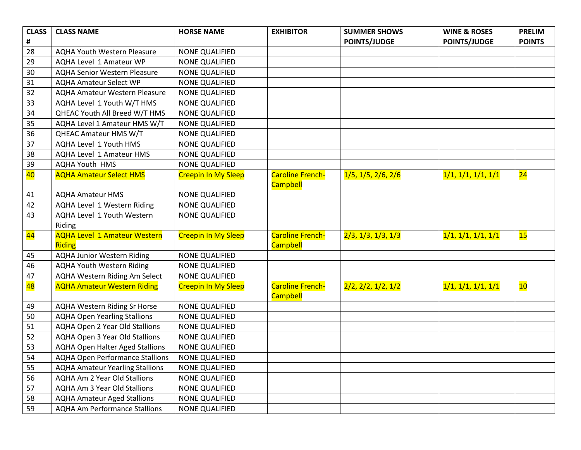| <b>CLASS</b>    | <b>CLASS NAME</b>                      | <b>HORSE NAME</b>          | <b>EXHIBITOR</b>                           | <b>SUMMER SHOWS</b> | <b>WINE &amp; ROSES</b> | <b>PRELIM</b>            |
|-----------------|----------------------------------------|----------------------------|--------------------------------------------|---------------------|-------------------------|--------------------------|
| #               |                                        |                            |                                            | <b>POINTS/JUDGE</b> | <b>POINTS/JUDGE</b>     | <b>POINTS</b>            |
| 28              | <b>AQHA Youth Western Pleasure</b>     | <b>NONE QUALIFIED</b>      |                                            |                     |                         |                          |
| 29              | AQHA Level 1 Amateur WP                | <b>NONE QUALIFIED</b>      |                                            |                     |                         |                          |
| 30              | <b>AQHA Senior Western Pleasure</b>    | <b>NONE QUALIFIED</b>      |                                            |                     |                         |                          |
| 31              | <b>AQHA Amateur Select WP</b>          | <b>NONE QUALIFIED</b>      |                                            |                     |                         |                          |
| 32              | <b>AQHA Amateur Western Pleasure</b>   | <b>NONE QUALIFIED</b>      |                                            |                     |                         |                          |
| 33              | AQHA Level 1 Youth W/T HMS             | <b>NONE QUALIFIED</b>      |                                            |                     |                         |                          |
| 34              | QHEAC Youth All Breed W/T HMS          | <b>NONE QUALIFIED</b>      |                                            |                     |                         |                          |
| 35              | AQHA Level 1 Amateur HMS W/T           | <b>NONE QUALIFIED</b>      |                                            |                     |                         |                          |
| 36              | QHEAC Amateur HMS W/T                  | <b>NONE QUALIFIED</b>      |                                            |                     |                         |                          |
| 37              | AQHA Level 1 Youth HMS                 | <b>NONE QUALIFIED</b>      |                                            |                     |                         |                          |
| 38              | AQHA Level 1 Amateur HMS               | <b>NONE QUALIFIED</b>      |                                            |                     |                         |                          |
| 39              | <b>AQHA Youth HMS</b>                  | <b>NONE QUALIFIED</b>      |                                            |                     |                         |                          |
| 40              | <b>AQHA Amateur Select HMS</b>         | <b>Creepin In My Sleep</b> | <b>Caroline French-</b><br><b>Campbell</b> | 1/5, 1/5, 2/6, 2/6  | 1/1, 1/1, 1/1, 1/1      | $\overline{24}$          |
| 41              | <b>AQHA Amateur HMS</b>                | <b>NONE QUALIFIED</b>      |                                            |                     |                         |                          |
| 42              | AQHA Level 1 Western Riding            | <b>NONE QUALIFIED</b>      |                                            |                     |                         |                          |
| 43              | AQHA Level 1 Youth Western             | <b>NONE QUALIFIED</b>      |                                            |                     |                         |                          |
|                 | Riding                                 |                            |                                            |                     |                         |                          |
| <mark>44</mark> | <b>AQHA Level 1 Amateur Western</b>    | <b>Creepin In My Sleep</b> | <b>Caroline French-</b>                    | 2/3, 1/3, 1/3, 1/3  | 1/1, 1/1, 1/1, 1/1      | 15                       |
|                 | Riding                                 |                            | <b>Campbell</b>                            |                     |                         |                          |
| 45              | <b>AQHA Junior Western Riding</b>      | NONE QUALIFIED             |                                            |                     |                         |                          |
| 46              | <b>AQHA Youth Western Riding</b>       | <b>NONE QUALIFIED</b>      |                                            |                     |                         |                          |
| 47              | AQHA Western Riding Am Select          | <b>NONE QUALIFIED</b>      |                                            |                     |                         |                          |
| 48              | <b>AQHA Amateur Western Riding</b>     | <b>Creepin In My Sleep</b> | <b>Caroline French-</b>                    | 2/2, 2/2, 1/2, 1/2  | 1/1, 1/1, 1/1, 1/1      | $\overline{\mathbf{10}}$ |
|                 |                                        |                            | <b>Campbell</b>                            |                     |                         |                          |
| 49              | <b>AQHA Western Riding Sr Horse</b>    | <b>NONE QUALIFIED</b>      |                                            |                     |                         |                          |
| 50              | <b>AQHA Open Yearling Stallions</b>    | <b>NONE QUALIFIED</b>      |                                            |                     |                         |                          |
| 51              | AQHA Open 2 Year Old Stallions         | <b>NONE QUALIFIED</b>      |                                            |                     |                         |                          |
| 52              | AQHA Open 3 Year Old Stallions         | <b>NONE QUALIFIED</b>      |                                            |                     |                         |                          |
| 53              | <b>AQHA Open Halter Aged Stallions</b> | <b>NONE QUALIFIED</b>      |                                            |                     |                         |                          |
| 54              | <b>AQHA Open Performance Stallions</b> | NONE QUALIFIED             |                                            |                     |                         |                          |
| 55              | <b>AQHA Amateur Yearling Stallions</b> | <b>NONE QUALIFIED</b>      |                                            |                     |                         |                          |
| 56              | <b>AQHA Am 2 Year Old Stallions</b>    | <b>NONE QUALIFIED</b>      |                                            |                     |                         |                          |
| 57              | <b>AQHA Am 3 Year Old Stallions</b>    | <b>NONE QUALIFIED</b>      |                                            |                     |                         |                          |
| 58              | <b>AQHA Amateur Aged Stallions</b>     | <b>NONE QUALIFIED</b>      |                                            |                     |                         |                          |
| 59              | <b>AQHA Am Performance Stallions</b>   | <b>NONE QUALIFIED</b>      |                                            |                     |                         |                          |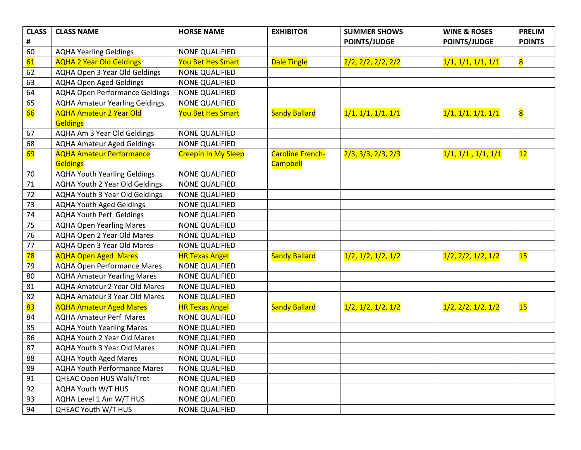| <b>CLASS</b>    | <b>CLASS NAME</b>                     | <b>HORSE NAME</b>          | <b>EXHIBITOR</b>        | <b>SUMMER SHOWS</b> | <b>WINE &amp; ROSES</b> | <b>PRELIM</b>           |
|-----------------|---------------------------------------|----------------------------|-------------------------|---------------------|-------------------------|-------------------------|
| #               |                                       |                            |                         | <b>POINTS/JUDGE</b> | <b>POINTS/JUDGE</b>     | <b>POINTS</b>           |
| 60              | <b>AQHA Yearling Geldings</b>         | <b>NONE QUALIFIED</b>      |                         |                     |                         |                         |
| 61              | <b>AQHA 2 Year Old Geldings</b>       | <b>You Bet Hes Smart</b>   | <b>Dale Tingle</b>      | 2/2, 2/2, 2/2, 2/2  | 1/1, 1/1, 1/1, 1/1      | $\overline{\mathbf{8}}$ |
| 62              | AQHA Open 3 Year Old Geldings         | NONE QUALIFIED             |                         |                     |                         |                         |
| 63              | <b>AQHA Open Aged Geldings</b>        | <b>NONE QUALIFIED</b>      |                         |                     |                         |                         |
| 64              | <b>AQHA Open Performance Geldings</b> | <b>NONE QUALIFIED</b>      |                         |                     |                         |                         |
| 65              | <b>AQHA Amateur Yearling Geldings</b> | <b>NONE QUALIFIED</b>      |                         |                     |                         |                         |
| 66              | <b>AQHA Amateur 2 Year Old</b>        | <b>You Bet Hes Smart</b>   | <b>Sandy Ballard</b>    | 1/1, 1/1, 1/1, 1/1  | 1/1, 1/1, 1/1, 1/1      | $\overline{\mathbf{8}}$ |
|                 | <b>Geldings</b>                       |                            |                         |                     |                         |                         |
| 67              | <b>AQHA Am 3 Year Old Geldings</b>    | <b>NONE QUALIFIED</b>      |                         |                     |                         |                         |
| 68              | <b>AQHA Amateur Aged Geldings</b>     | <b>NONE QUALIFIED</b>      |                         |                     |                         |                         |
| <mark>69</mark> | <b>AQHA Amateur Performance</b>       | <b>Creepin In My Sleep</b> | <b>Caroline French-</b> | 2/3, 3/3, 2/3, 2/3  | 1/1, 1/1, 1/1, 1/1      | $\frac{12}{ }$          |
|                 | <b>Geldings</b>                       |                            | <b>Campbell</b>         |                     |                         |                         |
| 70              | <b>AQHA Youth Yearling Geldings</b>   | <b>NONE QUALIFIED</b>      |                         |                     |                         |                         |
| 71              | <b>AQHA Youth 2 Year Old Geldings</b> | <b>NONE QUALIFIED</b>      |                         |                     |                         |                         |
| 72              | AQHA Youth 3 Year Old Geldings        | <b>NONE QUALIFIED</b>      |                         |                     |                         |                         |
| 73              | <b>AQHA Youth Aged Geldings</b>       | <b>NONE QUALIFIED</b>      |                         |                     |                         |                         |
| 74              | <b>AQHA Youth Perf Geldings</b>       | <b>NONE QUALIFIED</b>      |                         |                     |                         |                         |
| 75              | <b>AQHA Open Yearling Mares</b>       | <b>NONE QUALIFIED</b>      |                         |                     |                         |                         |
| 76              | AQHA Open 2 Year Old Mares            | <b>NONE QUALIFIED</b>      |                         |                     |                         |                         |
| 77              | AQHA Open 3 Year Old Mares            | <b>NONE QUALIFIED</b>      |                         |                     |                         |                         |
| 78              | <b>AQHA Open Aged Mares</b>           | <b>HR Texas Angel</b>      | <b>Sandy Ballard</b>    | 1/2, 1/2, 1/2, 1/2  | 1/2, 2/2, 1/2, 1/2      | 15                      |
| 79              | <b>AQHA Open Performance Mares</b>    | NONE QUALIFIED             |                         |                     |                         |                         |
| 80              | <b>AQHA Amateur Yearling Mares</b>    | <b>NONE QUALIFIED</b>      |                         |                     |                         |                         |
| 81              | <b>AQHA Amateur 2 Year Old Mares</b>  | <b>NONE QUALIFIED</b>      |                         |                     |                         |                         |
| 82              | <b>AQHA Amateur 3 Year Old Mares</b>  | <b>NONE QUALIFIED</b>      |                         |                     |                         |                         |
| 83              | <b>AQHA Amateur Aged Mares</b>        | <b>HR Texas Angel</b>      | <b>Sandy Ballard</b>    | 1/2, 1/2, 1/2, 1/2  | 1/2, 2/2, 1/2, 1/2      | 15                      |
| 84              | <b>AQHA Amateur Perf Mares</b>        | <b>NONE QUALIFIED</b>      |                         |                     |                         |                         |
| 85              | <b>AQHA Youth Yearling Mares</b>      | <b>NONE QUALIFIED</b>      |                         |                     |                         |                         |
| 86              | AQHA Youth 2 Year Old Mares           | <b>NONE QUALIFIED</b>      |                         |                     |                         |                         |
| 87              | <b>AQHA Youth 3 Year Old Mares</b>    | <b>NONE QUALIFIED</b>      |                         |                     |                         |                         |
| 88              | <b>AQHA Youth Aged Mares</b>          | <b>NONE QUALIFIED</b>      |                         |                     |                         |                         |
| 89              | <b>AQHA Youth Performance Mares</b>   | <b>NONE QUALIFIED</b>      |                         |                     |                         |                         |
| 91              | QHEAC Open HUS Walk/Trot              | NONE QUALIFIED             |                         |                     |                         |                         |
| 92              | AQHA Youth W/T HUS                    | NONE QUALIFIED             |                         |                     |                         |                         |
| 93              | AQHA Level 1 Am W/T HUS               | NONE QUALIFIED             |                         |                     |                         |                         |
| 94              | QHEAC Youth W/T HUS                   | NONE QUALIFIED             |                         |                     |                         |                         |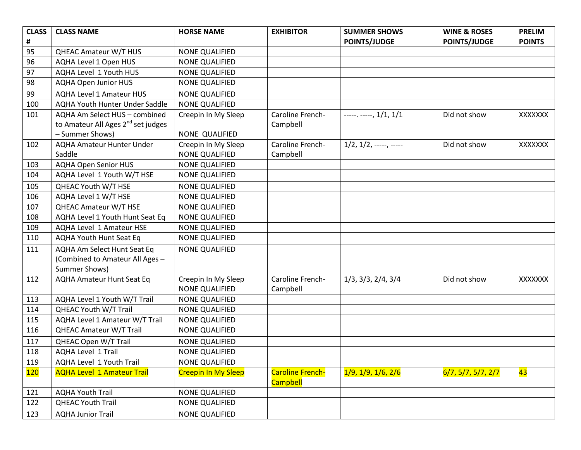| <b>CLASS</b>   | <b>CLASS NAME</b>                              | <b>HORSE NAME</b>          | <b>EXHIBITOR</b>        | <b>SUMMER SHOWS</b>           | <b>WINE &amp; ROSES</b> | <b>PRELIM</b>  |
|----------------|------------------------------------------------|----------------------------|-------------------------|-------------------------------|-------------------------|----------------|
| $\pmb{\sharp}$ |                                                |                            |                         | <b>POINTS/JUDGE</b>           | <b>POINTS/JUDGE</b>     | <b>POINTS</b>  |
| 95             | <b>QHEAC Amateur W/T HUS</b>                   | <b>NONE QUALIFIED</b>      |                         |                               |                         |                |
| 96             | AQHA Level 1 Open HUS                          | <b>NONE QUALIFIED</b>      |                         |                               |                         |                |
| 97             | AQHA Level 1 Youth HUS                         | <b>NONE QUALIFIED</b>      |                         |                               |                         |                |
| 98             | <b>AQHA Open Junior HUS</b>                    | NONE QUALIFIED             |                         |                               |                         |                |
| 99             | <b>AQHA Level 1 Amateur HUS</b>                | <b>NONE QUALIFIED</b>      |                         |                               |                         |                |
| 100            | <b>AQHA Youth Hunter Under Saddle</b>          | <b>NONE QUALIFIED</b>      |                         |                               |                         |                |
| 101            | AQHA Am Select HUS - combined                  | Creepin In My Sleep        | Caroline French-        | $---$ . $---$ , $1/1$ , $1/1$ | Did not show            | XXXXXXX        |
|                | to Amateur All Ages 2 <sup>nd</sup> set judges |                            | Campbell                |                               |                         |                |
|                | - Summer Shows)                                | NONE QUALIFIED             |                         |                               |                         |                |
| 102            | <b>AQHA Amateur Hunter Under</b>               | Creepin In My Sleep        | Caroline French-        | $1/2, 1/2, \ldots, \ldots$    | Did not show            | <b>XXXXXXX</b> |
|                | Saddle                                         | <b>NONE QUALIFIED</b>      | Campbell                |                               |                         |                |
| 103            | <b>AQHA Open Senior HUS</b>                    | <b>NONE QUALIFIED</b>      |                         |                               |                         |                |
| 104            | AQHA Level 1 Youth W/T HSE                     | NONE QUALIFIED             |                         |                               |                         |                |
| 105            | QHEAC Youth W/T HSE                            | <b>NONE QUALIFIED</b>      |                         |                               |                         |                |
| 106            | AQHA Level 1 W/T HSE                           | NONE QUALIFIED             |                         |                               |                         |                |
| 107            | <b>QHEAC Amateur W/T HSE</b>                   | <b>NONE QUALIFIED</b>      |                         |                               |                         |                |
| 108            | AQHA Level 1 Youth Hunt Seat Eq                | <b>NONE QUALIFIED</b>      |                         |                               |                         |                |
| 109            | <b>AQHA Level 1 Amateur HSE</b>                | <b>NONE QUALIFIED</b>      |                         |                               |                         |                |
| 110            | <b>AQHA Youth Hunt Seat Eq</b>                 | <b>NONE QUALIFIED</b>      |                         |                               |                         |                |
| 111            | AQHA Am Select Hunt Seat Eq                    | <b>NONE QUALIFIED</b>      |                         |                               |                         |                |
|                | (Combined to Amateur All Ages -                |                            |                         |                               |                         |                |
|                | Summer Shows)                                  |                            |                         |                               |                         |                |
| 112            | <b>AQHA Amateur Hunt Seat Eq</b>               | Creepin In My Sleep        | Caroline French-        | $1/3$ , $3/3$ , $2/4$ , $3/4$ | Did not show            | XXXXXXX        |
|                |                                                | <b>NONE QUALIFIED</b>      | Campbell                |                               |                         |                |
| 113            | AQHA Level 1 Youth W/T Trail                   | <b>NONE QUALIFIED</b>      |                         |                               |                         |                |
| 114            | QHEAC Youth W/T Trail                          | <b>NONE QUALIFIED</b>      |                         |                               |                         |                |
| 115            | AQHA Level 1 Amateur W/T Trail                 | <b>NONE QUALIFIED</b>      |                         |                               |                         |                |
| 116            | <b>QHEAC Amateur W/T Trail</b>                 | <b>NONE QUALIFIED</b>      |                         |                               |                         |                |
| 117            | QHEAC Open W/T Trail                           | <b>NONE QUALIFIED</b>      |                         |                               |                         |                |
| 118            | <b>AQHA Level 1 Trail</b>                      | <b>NONE QUALIFIED</b>      |                         |                               |                         |                |
| 119            | AQHA Level 1 Youth Trail                       | <b>NONE QUALIFIED</b>      |                         |                               |                         |                |
| 120            | <b>AQHA Level 1 Amateur Trail</b>              | <b>Creepin In My Sleep</b> | <b>Caroline French-</b> | 1/9, 1/9, 1/6, 2/6            | 6/7, 5/7, 5/7, 2/7      | 43             |
|                |                                                |                            | <b>Campbell</b>         |                               |                         |                |
| 121            | <b>AQHA Youth Trail</b>                        | <b>NONE QUALIFIED</b>      |                         |                               |                         |                |
| 122            | <b>QHEAC Youth Trail</b>                       | <b>NONE QUALIFIED</b>      |                         |                               |                         |                |
| 123            | <b>AQHA Junior Trail</b>                       | <b>NONE QUALIFIED</b>      |                         |                               |                         |                |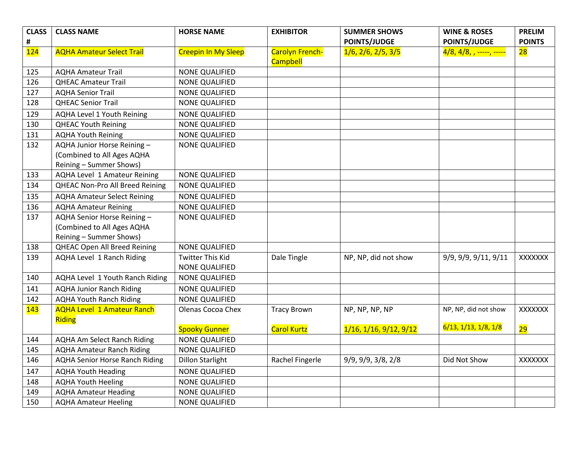| <b>CLASS</b> | <b>CLASS NAME</b>                                                                    | <b>HORSE NAME</b>                         | <b>EXHIBITOR</b>                          | <b>SUMMER SHOWS</b>               | <b>WINE &amp; ROSES</b>               | <b>PRELIM</b> |
|--------------|--------------------------------------------------------------------------------------|-------------------------------------------|-------------------------------------------|-----------------------------------|---------------------------------------|---------------|
| #            |                                                                                      |                                           |                                           | <b>POINTS/JUDGE</b>               | <b>POINTS/JUDGE</b>                   | <b>POINTS</b> |
| 124          | <b>AQHA Amateur Select Trail</b>                                                     | <b>Creepin In My Sleep</b>                | <b>Carolyn French-</b><br><b>Campbell</b> | 1/6, 2/6, 2/5, 3/5                | <mark>4/8, 4/8, , -----, -----</mark> | 28            |
| 125          | <b>AQHA Amateur Trail</b>                                                            | <b>NONE QUALIFIED</b>                     |                                           |                                   |                                       |               |
| 126          | <b>QHEAC Amateur Trail</b>                                                           | <b>NONE QUALIFIED</b>                     |                                           |                                   |                                       |               |
| 127          | <b>AQHA Senior Trail</b>                                                             | <b>NONE QUALIFIED</b>                     |                                           |                                   |                                       |               |
| 128          | <b>QHEAC Senior Trail</b>                                                            | <b>NONE QUALIFIED</b>                     |                                           |                                   |                                       |               |
| 129          | AQHA Level 1 Youth Reining                                                           | <b>NONE QUALIFIED</b>                     |                                           |                                   |                                       |               |
| 130          | <b>QHEAC Youth Reining</b>                                                           | <b>NONE QUALIFIED</b>                     |                                           |                                   |                                       |               |
| 131          | <b>AQHA Youth Reining</b>                                                            | <b>NONE QUALIFIED</b>                     |                                           |                                   |                                       |               |
| 132          | AQHA Junior Horse Reining -<br>(Combined to All Ages AQHA<br>Reining - Summer Shows) | <b>NONE QUALIFIED</b>                     |                                           |                                   |                                       |               |
| 133          | AQHA Level 1 Amateur Reining                                                         | <b>NONE QUALIFIED</b>                     |                                           |                                   |                                       |               |
| 134          | QHEAC Non-Pro All Breed Reining                                                      | <b>NONE QUALIFIED</b>                     |                                           |                                   |                                       |               |
| 135          | <b>AQHA Amateur Select Reining</b>                                                   | NONE QUALIFIED                            |                                           |                                   |                                       |               |
| 136          | <b>AQHA Amateur Reining</b>                                                          | <b>NONE QUALIFIED</b>                     |                                           |                                   |                                       |               |
| 137          | AQHA Senior Horse Reining -<br>(Combined to All Ages AQHA<br>Reining - Summer Shows) | <b>NONE QUALIFIED</b>                     |                                           |                                   |                                       |               |
| 138          | <b>QHEAC Open All Breed Reining</b>                                                  | <b>NONE QUALIFIED</b>                     |                                           |                                   |                                       |               |
| 139          | AQHA Level 1 Ranch Riding                                                            | Twitter This Kid<br><b>NONE QUALIFIED</b> | Dale Tingle                               | NP, NP, did not show              | 9/9, 9/9, 9/11, 9/11                  | XXXXXXX       |
| 140          | AQHA Level 1 Youth Ranch Riding                                                      | NONE QUALIFIED                            |                                           |                                   |                                       |               |
| 141          | <b>AQHA Junior Ranch Riding</b>                                                      | <b>NONE QUALIFIED</b>                     |                                           |                                   |                                       |               |
| 142          | <b>AQHA Youth Ranch Riding</b>                                                       | <b>NONE QUALIFIED</b>                     |                                           |                                   |                                       |               |
| 143          | <b>AQHA Level 1 Amateur Ranch</b><br>Riding                                          | Olenas Cocoa Chex                         | <b>Tracy Brown</b>                        | NP, NP, NP, NP                    | NP, NP, did not show                  | XXXXXX        |
|              |                                                                                      | <b>Spooky Gunner</b>                      | <b>Carol Kurtz</b>                        | $1/16$ , $1/16$ , $9/12$ , $9/12$ | 6/13, 1/13, 1/8, 1/8                  | 29            |
| 144          | <b>AQHA Am Select Ranch Riding</b>                                                   | <b>NONE QUALIFIED</b>                     |                                           |                                   |                                       |               |
| 145          | <b>AQHA Amateur Ranch Riding</b>                                                     | <b>NONE QUALIFIED</b>                     |                                           |                                   |                                       |               |
| 146          | <b>AQHA Senior Horse Ranch Riding</b>                                                | <b>Dillon Starlight</b>                   | Rachel Fingerle                           | 9/9, 9/9, 3/8, 2/8                | Did Not Show                          | XXXXXXX       |
| 147          | <b>AQHA Youth Heading</b>                                                            | <b>NONE QUALIFIED</b>                     |                                           |                                   |                                       |               |
| 148          | <b>AQHA Youth Heeling</b>                                                            | <b>NONE QUALIFIED</b>                     |                                           |                                   |                                       |               |
| 149          | <b>AQHA Amateur Heading</b>                                                          | <b>NONE QUALIFIED</b>                     |                                           |                                   |                                       |               |
| 150          | <b>AQHA Amateur Heeling</b>                                                          | <b>NONE QUALIFIED</b>                     |                                           |                                   |                                       |               |